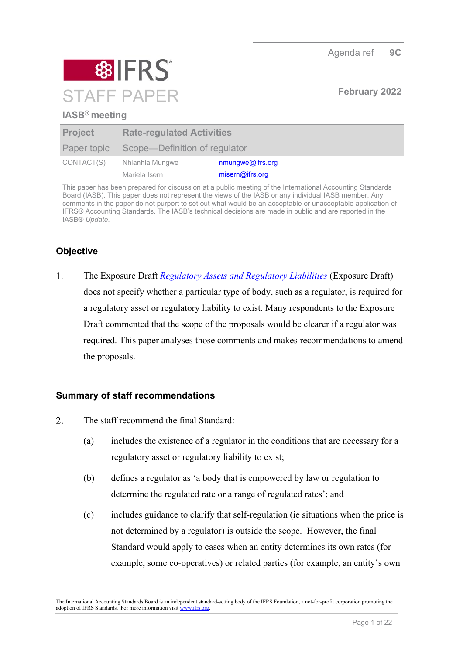

### **IASB® meeting**

| <b>Project</b> | <b>Rate-regulated Activities</b>          |                  |
|----------------|-------------------------------------------|------------------|
|                | Paper topic Scope—Definition of regulator |                  |
| CONTACT(S)     | Nhlanhla Mungwe                           | nmungwe@ifrs.org |
|                | Mariela Isern                             | misern@ifrs.org  |

This paper has been prepared for discussion at a public meeting of the International Accounting Standards Board (IASB). This paper does not represent the views of the IASB or any individual IASB member. Any comments in the paper do not purport to set out what would be an acceptable or unacceptable application of IFRS® Accounting Standards. The IASB's technical decisions are made in public and are reported in the IASB® *Update*.

# **Objective**

 $1.$ The Exposure Draft*[Regulatory Assets and Regulatory Liabilities](https://www.ifrs.org/content/dam/ifrs/project/rate-regulated-activities/published-documents/ed2021-rra.pdf)* (Exposure Draft) does not specify whether a particular type of body, such as a regulator, is required for a regulatory asset or regulatory liability to exist. Many respondents to the Exposure Draft commented that the scope of the proposals would be clearer if a regulator was required. This paper analyses those comments and makes recommendations to amend the proposals.

## **Summary of staff recommendations**

- 2. The staff recommend the final Standard:
	- (a) includes the existence of a regulator in the conditions that are necessary for a regulatory asset or regulatory liability to exist;
	- (b) defines a regulator as 'a body that is empowered by law or regulation to determine the regulated rate or a range of regulated rates'; and
	- (c) includes guidance to clarify that self-regulation (ie situations when the price is not determined by a regulator) is outside the scope. However, the final Standard would apply to cases when an entity determines its own rates (for example, some co-operatives) or related parties (for example, an entity's own

The International Accounting Standards Board is an independent standard-setting body of the IFRS Foundation, a not-for-profit corporation promoting the adoption of IFRS Standards. For more information visit [www.ifrs.org.](http://www.ifrs.org/)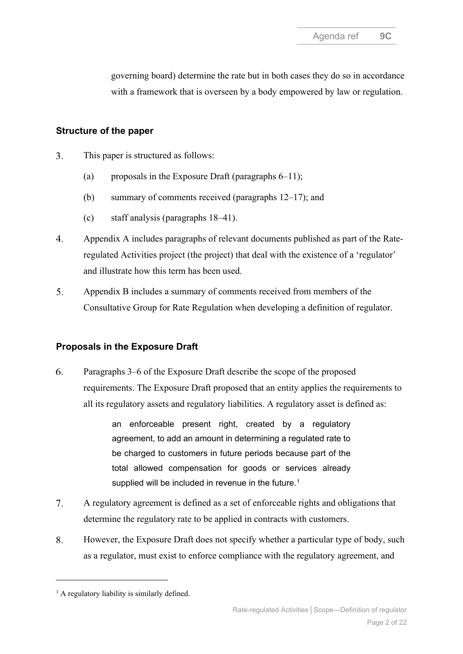governing board) determine the rate but in both cases they do so in accordance with a framework that is overseen by a body empowered by law or regulation.

### **Structure of the paper**

- $3.$ This paper is structured as follows:
	- (a) proposals in the Exposure Draft (paragraphs  $6-11$ );
	- (b) summary of comments received (paragraphs [12](#page-3-0)[–17\)](#page-5-0); and
	- (c) staff analysis (paragraphs [18](#page-5-1)[–41\)](#page-10-0).
- $4.$ Appendix A includes paragraphs of relevant documents published as part of the Rateregulated Activities project (the project) that deal with the existence of a 'regulator' and illustrate how this term has been used.
- 5. Appendix B includes a summary of comments received from members of the Consultative Group for Rate Regulation when developing a definition of regulator.

## **Proposals in the Exposure Draft**

<span id="page-1-0"></span>6. Paragraphs 3–6 of the Exposure Draft describe the scope of the proposed requirements. The Exposure Draft proposed that an entity applies the requirements to all its regulatory assets and regulatory liabilities. A regulatory asset is defined as:

> an enforceable present right, created by a regulatory agreement, to add an amount in determining a regulated rate to be charged to customers in future periods because part of the total allowed compensation for goods or services already supplied will be included in revenue in the future.<sup>[1](#page-1-1)</sup>

- 7. A regulatory agreement is defined as a set of enforceable rights and obligations that determine the regulatory rate to be applied in contracts with customers.
- 8. However, the Exposure Draft does not specify whether a particular type of body, such as a regulator, must exist to enforce compliance with the regulatory agreement, and

<span id="page-1-1"></span> $<sup>1</sup>$  A regulatory liability is similarly defined.</sup>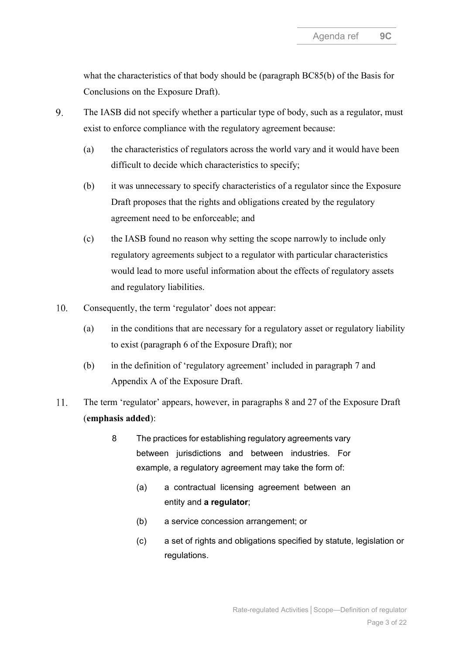what the characteristics of that body should be (paragraph BC85(b) of the Basis for Conclusions on the Exposure Draft).

- 9. The IASB did not specify whether a particular type of body, such as a regulator, must exist to enforce compliance with the regulatory agreement because:
	- (a) the characteristics of regulators across the world vary and it would have been difficult to decide which characteristics to specify;
	- (b) it was unnecessary to specify characteristics of a regulator since the Exposure Draft proposes that the rights and obligations created by the regulatory agreement need to be enforceable; and
	- (c) the IASB found no reason why setting the scope narrowly to include only regulatory agreements subject to a regulator with particular characteristics would lead to more useful information about the effects of regulatory assets and regulatory liabilities.
- 10. Consequently, the term 'regulator' does not appear:
	- (a) in the conditions that are necessary for a regulatory asset or regulatory liability to exist (paragraph 6 of the Exposure Draft); nor
	- (b) in the definition of 'regulatory agreement' included in paragraph 7 and Appendix A of the Exposure Draft.
- <span id="page-2-0"></span>11. The term 'regulator' appears, however, in paragraphs 8 and 27 of the Exposure Draft (**emphasis added**):
	- 8 The practices for establishing regulatory agreements vary between jurisdictions and between industries. For example, a regulatory agreement may take the form of:
		- (a) a contractual licensing agreement between an entity and **a regulator**;
		- (b) a service concession arrangement; or
		- (c) a set of rights and obligations specified by statute, legislation or regulations.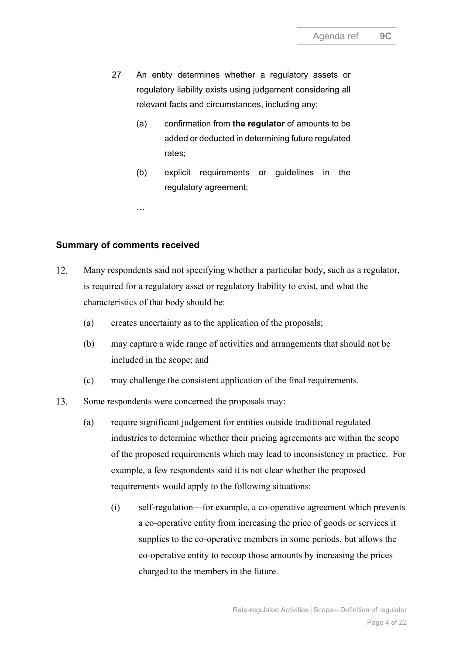- 27 An entity determines whether a regulatory assets or regulatory liability exists using judgement considering all relevant facts and circumstances, including any:
	- (a) confirmation from **the regulator** of amounts to be added or deducted in determining future regulated rates;
	- (b) explicit requirements or guidelines in the regulatory agreement;

…

#### **Summary of comments received**

- <span id="page-3-3"></span><span id="page-3-0"></span> $12.$ Many respondents said not specifying whether a particular body, such as a regulator, is required for a regulatory asset or regulatory liability to exist, and what the characteristics of that body should be:
	- (a) creates uncertainty as to the application of the proposals;
	- (b) may capture a wide range of activities and arrangements that should not be included in the scope; and
	- (c) may challenge the consistent application of the final requirements.
- <span id="page-3-2"></span><span id="page-3-1"></span> $13.$ Some respondents were concerned the proposals may:
	- (a) require significant judgement for entities outside traditional regulated industries to determine whether their pricing agreements are within the scope of the proposed requirements which may lead to inconsistency in practice. For example, a few respondents said it is not clear whether the proposed requirements would apply to the following situations:
		- (i) self-regulation—for example, a co-operative agreement which prevents a co-operative entity from increasing the price of goods or services it supplies to the co-operative members in some periods, but allows the co-operative entity to recoup those amounts by increasing the prices charged to the members in the future.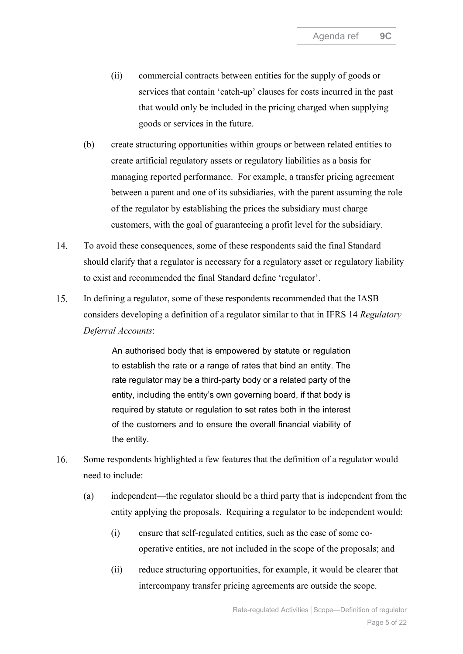- <span id="page-4-1"></span>(ii) commercial contracts between entities for the supply of goods or services that contain 'catch-up' clauses for costs incurred in the past that would only be included in the pricing charged when supplying goods or services in the future.
- <span id="page-4-0"></span>(b) create structuring opportunities within groups or between related entities to create artificial regulatory assets or regulatory liabilities as a basis for managing reported performance. For example, a transfer pricing agreement between a parent and one of its subsidiaries, with the parent assuming the role of the regulator by establishing the prices the subsidiary must charge customers, with the goal of guaranteeing a profit level for the subsidiary.
- 14. To avoid these consequences, some of these respondents said the final Standard should clarify that a regulator is necessary for a regulatory asset or regulatory liability to exist and recommended the final Standard define 'regulator'.
- <span id="page-4-2"></span>15. In defining a regulator, some of these respondents recommended that the IASB considers developing a definition of a regulator similar to that in IFRS 14 *Regulatory Deferral Accounts*:

An authorised body that is empowered by statute or regulation to establish the rate or a range of rates that bind an entity. The rate regulator may be a third-party body or a related party of the entity, including the entity's own governing board, if that body is required by statute or regulation to set rates both in the interest of the customers and to ensure the overall financial viability of the entity.

- <span id="page-4-3"></span>16. Some respondents highlighted a few features that the definition of a regulator would need to include:
	- (a) independent—the regulator should be a third party that is independent from the entity applying the proposals. Requiring a regulator to be independent would:
		- (i) ensure that self-regulated entities, such as the case of some cooperative entities, are not included in the scope of the proposals; and
		- (ii) reduce structuring opportunities, for example, it would be clearer that intercompany transfer pricing agreements are outside the scope.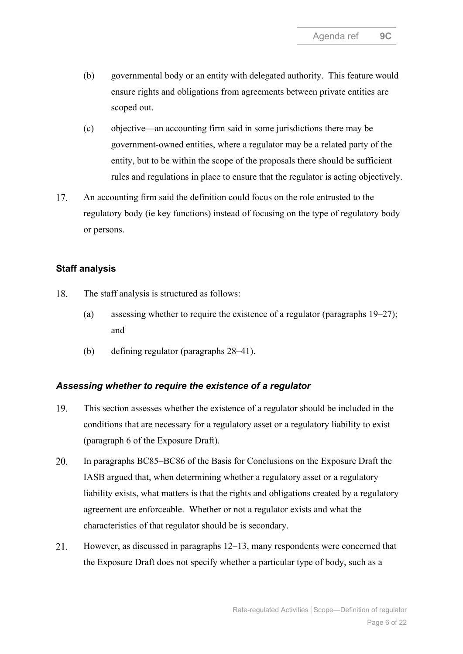- (b) governmental body or an entity with delegated authority. This feature would ensure rights and obligations from agreements between private entities are scoped out.
- (c) objective—an accounting firm said in some jurisdictions there may be government-owned entities, where a regulator may be a related party of the entity, but to be within the scope of the proposals there should be sufficient rules and regulations in place to ensure that the regulator is acting objectively.
- <span id="page-5-0"></span>17. An accounting firm said the definition could focus on the role entrusted to the regulatory body (ie key functions) instead of focusing on the type of regulatory body or persons.

### **Staff analysis**

- <span id="page-5-1"></span>18. The staff analysis is structured as follows:
	- (a) assessing whether to require the existence of a regulator (paragraphs [19](#page-5-2)[–27\)](#page-7-0); and
	- (b) defining regulator (paragraphs [28–](#page-8-0)[41\)](#page-10-0).

### *Assessing whether to require the existence of a regulator*

- <span id="page-5-2"></span>19. This section assesses whether the existence of a regulator should be included in the conditions that are necessary for a regulatory asset or a regulatory liability to exist (paragraph 6 of the Exposure Draft).
- 20. In paragraphs BC85–BC86 of the Basis for Conclusions on the Exposure Draft the IASB argued that, when determining whether a regulatory asset or a regulatory liability exists, what matters is that the rights and obligations created by a regulatory agreement are enforceable. Whether or not a regulator exists and what the characteristics of that regulator should be is secondary.
- 21. However, as discussed in paragraphs [12–](#page-3-0)[13,](#page-3-1) many respondents were concerned that the Exposure Draft does not specify whether a particular type of body, such as a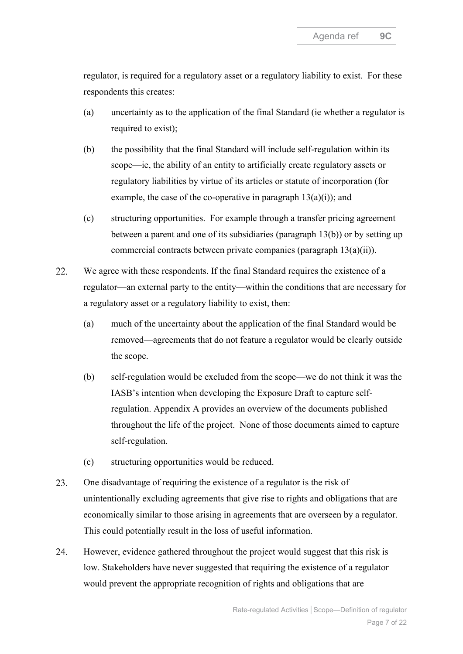regulator, is required for a regulatory asset or a regulatory liability to exist. For these respondents this creates:

- (a) uncertainty as to the application of the final Standard (ie whether a regulator is required to exist);
- (b) the possibility that the final Standard will include self-regulation within its scope—ie, the ability of an entity to artificially create regulatory assets or regulatory liabilities by virtue of its articles or statute of incorporation (for example, the case of the co-operative in paragraph  $13(a)(i)$ ; and
- (c) structuring opportunities. For example through a transfer pricing agreement between a parent and one of its subsidiaries (paragraph [13\(b\)\)](#page-4-0) or by setting up commercial contracts between private companies (paragraph [13\(a\)\(ii\)\)](#page-4-1).
- $22.$ We agree with these respondents. If the final Standard requires the existence of a regulator—an external party to the entity—within the conditions that are necessary for a regulatory asset or a regulatory liability to exist, then:
	- (a) much of the uncertainty about the application of the final Standard would be removed—agreements that do not feature a regulator would be clearly outside the scope.
	- (b) self-regulation would be excluded from the scope—we do not think it was the IASB's intention when developing the Exposure Draft to capture selfregulation. Appendix A provides an overview of the documents published throughout the life of the project. None of those documents aimed to capture self-regulation.
	- (c) structuring opportunities would be reduced.
- 23. One disadvantage of requiring the existence of a regulator is the risk of unintentionally excluding agreements that give rise to rights and obligations that are economically similar to those arising in agreements that are overseen by a regulator. This could potentially result in the loss of useful information.
- 24. However, evidence gathered throughout the project would suggest that this risk is low. Stakeholders have never suggested that requiring the existence of a regulator would prevent the appropriate recognition of rights and obligations that are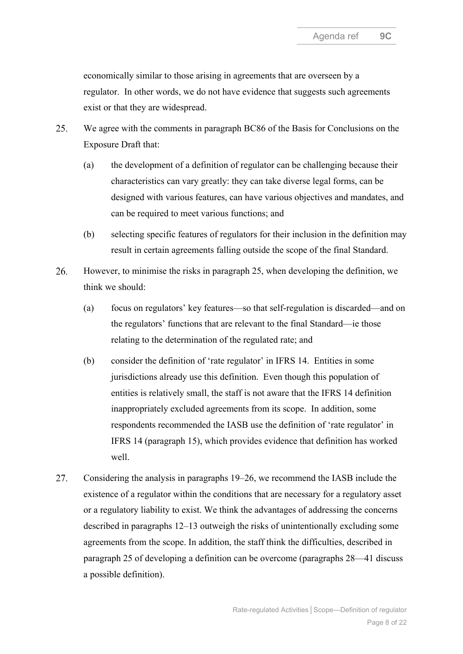economically similar to those arising in agreements that are overseen by a regulator. In other words, we do not have evidence that suggests such agreements exist or that they are widespread.

- <span id="page-7-1"></span>25. We agree with the comments in paragraph BC86 of the Basis for Conclusions on the Exposure Draft that:
	- (a) the development of a definition of regulator can be challenging because their characteristics can vary greatly: they can take diverse legal forms, can be designed with various features, can have various objectives and mandates, and can be required to meet various functions; and
	- (b) selecting specific features of regulators for their inclusion in the definition may result in certain agreements falling outside the scope of the final Standard.
- <span id="page-7-2"></span>26. However, to minimise the risks in paragraph [25,](#page-7-1) when developing the definition, we think we should:
	- (a) focus on regulators' key features—so that self-regulation is discarded—and on the regulators' functions that are relevant to the final Standard—ie those relating to the determination of the regulated rate; and
	- (b) consider the definition of 'rate regulator' in IFRS 14. Entities in some jurisdictions already use this definition. Even though this population of entities is relatively small, the staff is not aware that the IFRS 14 definition inappropriately excluded agreements from its scope. In addition, some respondents recommended the IASB use the definition of 'rate regulator' in IFRS 14 (paragraph [15\)](#page-4-2), which provides evidence that definition has worked well.
- <span id="page-7-0"></span>27. Considering the analysis in paragraphs [19–](#page-5-2)[26,](#page-7-2) we recommend the IASB include the existence of a regulator within the conditions that are necessary for a regulatory asset or a regulatory liability to exist. We think the advantages of addressing the concerns described in paragraphs [12–](#page-3-0)[13](#page-3-1) outweigh the risks of unintentionally excluding some agreements from the scope. In addition, the staff think the difficulties, described in paragraph [25](#page-7-1) of developing a definition can be overcome (paragraphs [28](#page-8-0)[—41](#page-10-0) discuss a possible definition).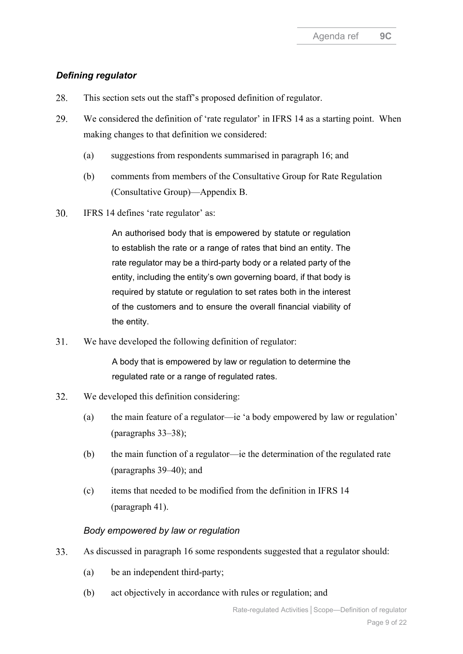### *Defining regulator*

- <span id="page-8-0"></span>28. This section sets out the staff's proposed definition of regulator.
- 29. We considered the definition of 'rate regulator' in IFRS 14 as a starting point. When making changes to that definition we considered:
	- (a) suggestions from respondents summarised in paragraph [16;](#page-4-3) and
	- (b) comments from members of the Consultative Group for Rate Regulation (Consultative Group)—Appendix B.
- 30. IFRS 14 defines 'rate regulator' as:

An authorised body that is empowered by statute or regulation to establish the rate or a range of rates that bind an entity. The rate regulator may be a third-party body or a related party of the entity, including the entity's own governing board, if that body is required by statute or regulation to set rates both in the interest of the customers and to ensure the overall financial viability of the entity.

31. We have developed the following definition of regulator:

> A body that is empowered by law or regulation to determine the regulated rate or a range of regulated rates.

- 32. We developed this definition considering:
	- (a) the main feature of a regulator—ie 'a body empowered by law or regulation' (paragraphs [33](#page-8-1)[–38\)](#page-9-0);
	- (b) the main function of a regulator—ie the determination of the regulated rate (paragraphs [39](#page-10-1)[–40\)](#page-10-2); and
	- (c) items that needed to be modified from the definition in IFRS 14 (paragraph [41\)](#page-10-0).

### *Body empowered by law or regulation*

- <span id="page-8-1"></span>33. As discussed in paragraph [16](#page-4-3) some respondents suggested that a regulator should:
	- (a) be an independent third-party;
	- (b) act objectively in accordance with rules or regulation; and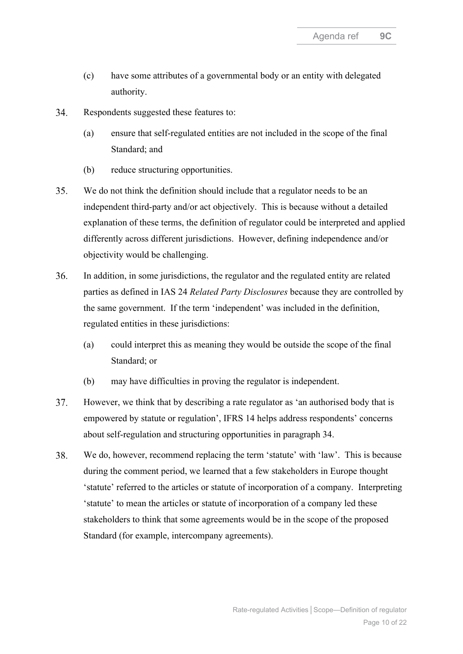- (c) have some attributes of a governmental body or an entity with delegated authority.
- <span id="page-9-1"></span>34. Respondents suggested these features to:
	- (a) ensure that self-regulated entities are not included in the scope of the final Standard; and
	- (b) reduce structuring opportunities.
- 35. We do not think the definition should include that a regulator needs to be an independent third-party and/or act objectively. This is because without a detailed explanation of these terms, the definition of regulator could be interpreted and applied differently across different jurisdictions. However, defining independence and/or objectivity would be challenging.
- 36. In addition, in some jurisdictions, the regulator and the regulated entity are related parties as defined in IAS 24 *Related Party Disclosures* because they are controlled by the same government. If the term 'independent' was included in the definition, regulated entities in these jurisdictions:
	- (a) could interpret this as meaning they would be outside the scope of the final Standard; or
	- (b) may have difficulties in proving the regulator is independent.
- 37. However, we think that by describing a rate regulator as 'an authorised body that is empowered by statute or regulation', IFRS 14 helps address respondents' concerns about self-regulation and structuring opportunities in paragraph [34.](#page-9-1)
- <span id="page-9-0"></span>38. We do, however, recommend replacing the term 'statute' with 'law'. This is because during the comment period, we learned that a few stakeholders in Europe thought 'statute' referred to the articles or statute of incorporation of a company. Interpreting 'statute' to mean the articles or statute of incorporation of a company led these stakeholders to think that some agreements would be in the scope of the proposed Standard (for example, intercompany agreements).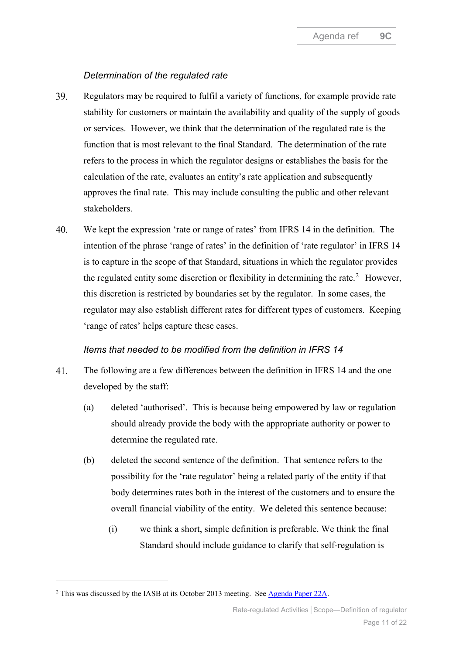#### *Determination of the regulated rate*

- <span id="page-10-1"></span>39. Regulators may be required to fulfil a variety of functions, for example provide rate stability for customers or maintain the availability and quality of the supply of goods or services. However, we think that the determination of the regulated rate is the function that is most relevant to the final Standard. The determination of the rate refers to the process in which the regulator designs or establishes the basis for the calculation of the rate, evaluates an entity's rate application and subsequently approves the final rate. This may include consulting the public and other relevant stakeholders.
- <span id="page-10-2"></span> $40<sub>1</sub>$ We kept the expression 'rate or range of rates' from IFRS 14 in the definition. The intention of the phrase 'range of rates' in the definition of 'rate regulator' in IFRS 14 is to capture in the scope of that Standard, situations in which the regulator provides the regulated entity some discretion or flexibility in determining the rate.<sup>[2](#page-10-3)</sup> However, this discretion is restricted by boundaries set by the regulator. In some cases, the regulator may also establish different rates for different types of customers. Keeping 'range of rates' helps capture these cases.

### *Items that needed to be modified from the definition in IFRS 14*

- <span id="page-10-0"></span> $41.$ The following are a few differences between the definition in IFRS 14 and the one developed by the staff:
	- (a) deleted 'authorised'. This is because being empowered by law or regulation should already provide the body with the appropriate authority or power to determine the regulated rate.
	- (b) deleted the second sentence of the definition. That sentence refers to the possibility for the 'rate regulator' being a related party of the entity if that body determines rates both in the interest of the customers and to ensure the overall financial viability of the entity. We deleted this sentence because:
		- (i) we think a short, simple definition is preferable. We think the final Standard should include guidance to clarify that self-regulation is

<span id="page-10-3"></span><sup>&</sup>lt;sup>2</sup> This was discussed by the IASB at its October 2013 meeting. See [Agenda Paper 22A.](https://www.ifrs.org/content/dam/ifrs/meetings/2013/october/iasb/rate-regulated-activities-interim/ap22a-scope-transition.pdf)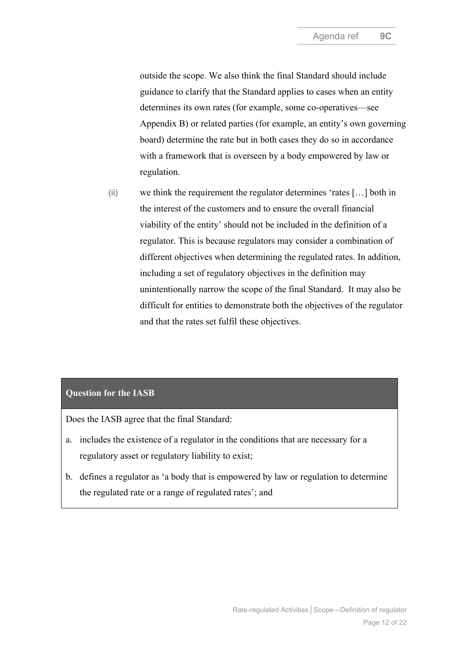outside the scope. We also think the final Standard should include guidance to clarify that the Standard applies to cases when an entity determines its own rates (for example, some co-operatives—see Appendix B) or related parties (for example, an entity's own governing board) determine the rate but in both cases they do so in accordance with a framework that is overseen by a body empowered by law or regulation.

(ii) we think the requirement the regulator determines 'rates […] both in the interest of the customers and to ensure the overall financial viability of the entity' should not be included in the definition of a regulator. This is because regulators may consider a combination of different objectives when determining the regulated rates. In addition, including a set of regulatory objectives in the definition may unintentionally narrow the scope of the final Standard. It may also be difficult for entities to demonstrate both the objectives of the regulator and that the rates set fulfil these objectives.

### **Question for the IASB**

Does the IASB agree that the final Standard:

- a. includes the existence of a regulator in the conditions that are necessary for a regulatory asset or regulatory liability to exist;
- b. defines a regulator as 'a body that is empowered by law or regulation to determine the regulated rate or a range of regulated rates'; and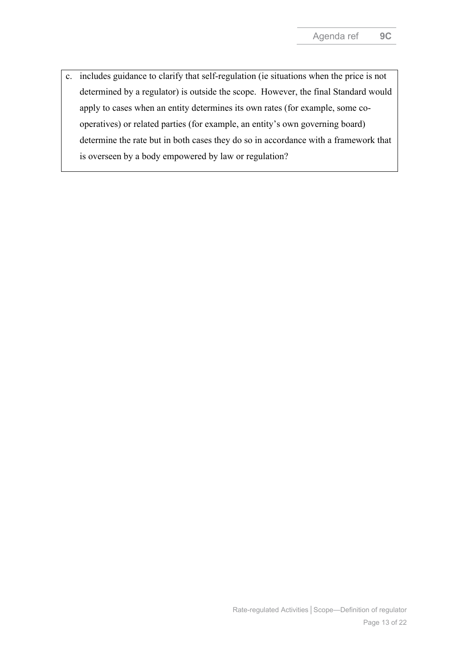c. includes guidance to clarify that self-regulation (ie situations when the price is not determined by a regulator) is outside the scope. However, the final Standard would apply to cases when an entity determines its own rates (for example, some cooperatives) or related parties (for example, an entity's own governing board) determine the rate but in both cases they do so in accordance with a framework that is overseen by a body empowered by law or regulation?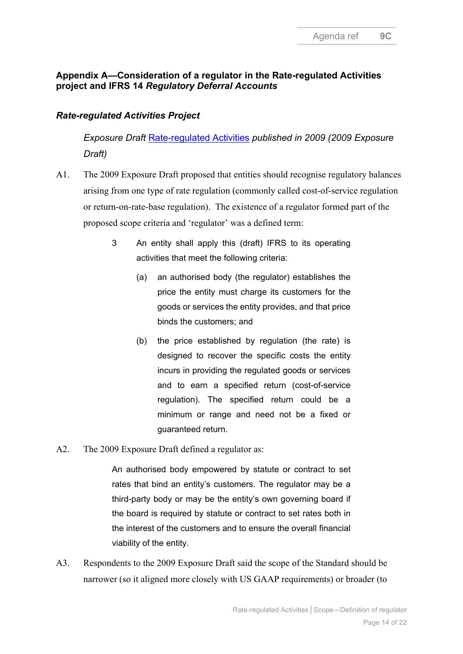## **Appendix A—Consideration of a regulator in the Rate-regulated Activities project and IFRS 14** *Regulatory Deferral Accounts*

## *Rate-regulated Activities Project*

*Exposure Draft* [Rate-regulated Activities](https://www.ifrs.org/content/dam/ifrs/project/rate-regulated-activities/published-documents/rate-regulated-activities-ed-2009.pdf) *published in 2009 (2009 Exposure Draft)*

- A1. The 2009 Exposure Draft proposed that entities should recognise regulatory balances arising from one type of rate regulation (commonly called cost-of-service regulation or return-on-rate-base regulation). The existence of a regulator formed part of the proposed scope criteria and 'regulator' was a defined term:
	- 3 An entity shall apply this (draft) IFRS to its operating activities that meet the following criteria:
		- (a) an authorised body (the regulator) establishes the price the entity must charge its customers for the goods or services the entity provides, and that price binds the customers; and
		- (b) the price established by regulation (the rate) is designed to recover the specific costs the entity incurs in providing the regulated goods or services and to earn a specified return (cost-of-service regulation). The specified return could be a minimum or range and need not be a fixed or guaranteed return.
- A2. The 2009 Exposure Draft defined a regulator as:

An authorised body empowered by statute or contract to set rates that bind an entity's customers. The regulator may be a third-party body or may be the entity's own governing board if the board is required by statute or contract to set rates both in the interest of the customers and to ensure the overall financial viability of the entity.

A3. Respondents to the 2009 Exposure Draft said the scope of the Standard should be narrower (so it aligned more closely with US GAAP requirements) or broader (to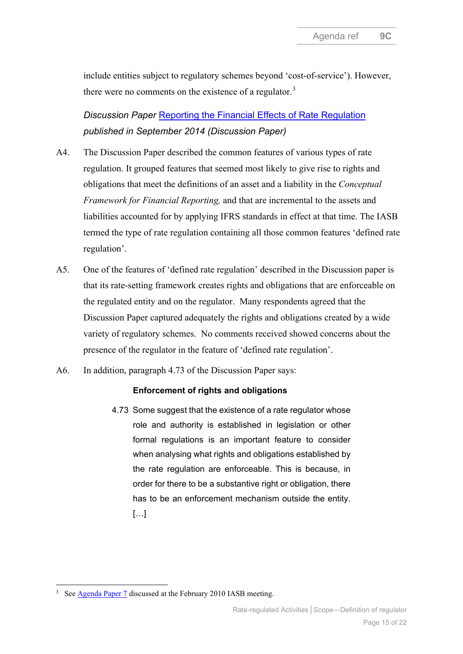include entities subject to regulatory schemes beyond 'cost-of-service'). However, there were no comments on the existence of a regulator.<sup>[3](#page-14-0)</sup>

*Discussion Paper* [Reporting the Financial Effects of Rate Regulation](https://www.ifrs.org/content/dam/ifrs/project/rate-regulated-activities/published-documents/discussion-paper-reporting-financial-effects-rate-regulation-september-2014.pdf) *published in September 2014 (Discussion Paper)*

- A4. The Discussion Paper described the common features of various types of rate regulation. It grouped features that seemed most likely to give rise to rights and obligations that meet the definitions of an asset and a liability in the *Conceptual Framework for Financial Reporting,* and that are incremental to the assets and liabilities accounted for by applying IFRS standards in effect at that time. The IASB termed the type of rate regulation containing all those common features 'defined rate regulation'.
- A5. One of the features of 'defined rate regulation' described in the Discussion paper is that its rate-setting framework creates rights and obligations that are enforceable on the regulated entity and on the regulator. Many respondents agreed that the Discussion Paper captured adequately the rights and obligations created by a wide variety of regulatory schemes. No comments received showed concerns about the presence of the regulator in the feature of 'defined rate regulation'.
- A6. In addition, paragraph 4.73 of the Discussion Paper says:

#### **Enforcement of rights and obligations**

4.73 Some suggest that the existence of a rate regulator whose role and authority is established in legislation or other formal regulations is an important feature to consider when analysing what rights and obligations established by the rate regulation are enforceable. This is because, in order for there to be a substantive right or obligation, there has to be an enforcement mechanism outside the entity. […]

<span id="page-14-0"></span><sup>&</sup>lt;sup>3</sup> See **Agenda Paper 7** discussed at the February 2010 IASB meeting.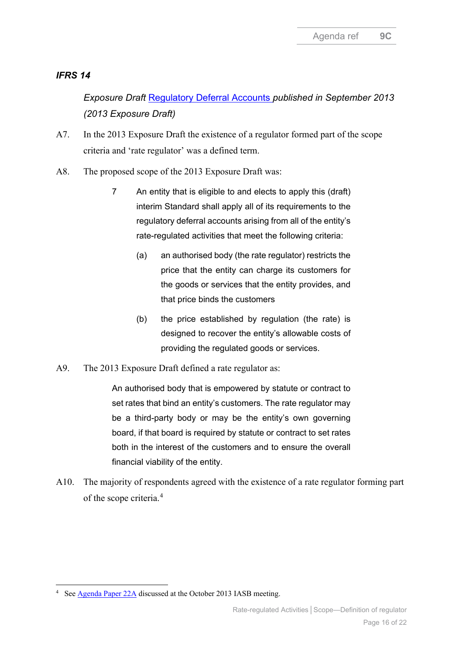### *IFRS 14*

*Exposure Draft* [Regulatory Deferral Accounts](https://www.ifrs.org/content/dam/ifrs/project/rate-regulated-activities-interim-standard/ed-regulatory-deferral-account.pdf) *published in September 2013 (2013 Exposure Draft)*

- A7. In the 2013 Exposure Draft the existence of a regulator formed part of the scope criteria and 'rate regulator' was a defined term.
- A8. The proposed scope of the 2013 Exposure Draft was:
	- 7 An entity that is eligible to and elects to apply this (draft) interim Standard shall apply all of its requirements to the regulatory deferral accounts arising from all of the entity's rate-regulated activities that meet the following criteria:
		- (a) an authorised body (the rate regulator) restricts the price that the entity can charge its customers for the goods or services that the entity provides, and that price binds the customers
		- (b) the price established by regulation (the rate) is designed to recover the entity's allowable costs of providing the regulated goods or services.
- A9. The 2013 Exposure Draft defined a rate regulator as:

An authorised body that is empowered by statute or contract to set rates that bind an entity's customers. The rate regulator may be a third-party body or may be the entity's own governing board, if that board is required by statute or contract to set rates both in the interest of the customers and to ensure the overall financial viability of the entity.

A10. The majority of respondents agreed with the existence of a rate regulator forming part of the scope criteria.<sup>[4](#page-15-0)</sup>

<span id="page-15-0"></span><sup>&</sup>lt;sup>4</sup> See **Agenda Paper 22A** discussed at the October 2013 IASB meeting.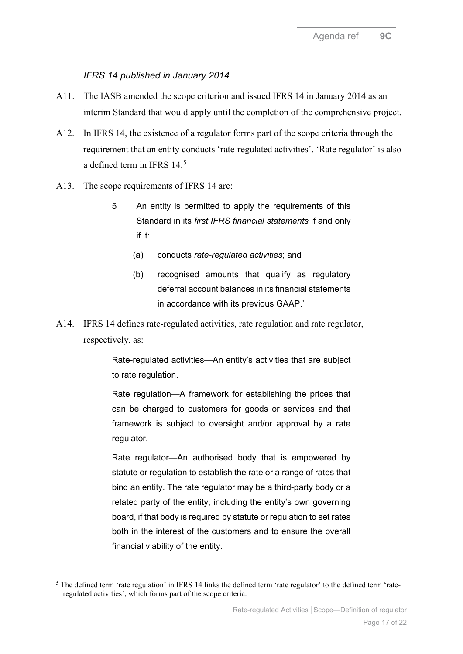### *IFRS 14 published in January 2014*

- A11. The IASB amended the scope criterion and issued IFRS 14 in January 2014 as an interim Standard that would apply until the completion of the comprehensive project.
- A12. In IFRS 14, the existence of a regulator forms part of the scope criteria through the requirement that an entity conducts 'rate-regulated activities'. 'Rate regulator' is also a defined term in IFRS 14.[5](#page-16-0)
- A13. The scope requirements of IFRS 14 are:
	- 5 An entity is permitted to apply the requirements of this Standard in its *first IFRS financial statements* if and only if it:
		- (a) conducts *rate-regulated activities*; and
		- (b) recognised amounts that qualify as regulatory deferral account balances in its financial statements in accordance with its previous GAAP.'
- A14. IFRS 14 defines rate-regulated activities, rate regulation and rate regulator, respectively, as:

Rate-regulated activities—An entity's activities that are subject to rate regulation.

Rate regulation—A framework for establishing the prices that can be charged to customers for goods or services and that framework is subject to oversight and/or approval by a rate regulator.

Rate regulator—An authorised body that is empowered by statute or regulation to establish the rate or a range of rates that bind an entity. The rate regulator may be a third-party body or a related party of the entity, including the entity's own governing board, if that body is required by statute or regulation to set rates both in the interest of the customers and to ensure the overall financial viability of the entity.

<span id="page-16-0"></span><sup>&</sup>lt;sup>5</sup> The defined term 'rate regulation' in IFRS 14 links the defined term 'rate regulator' to the defined term 'rateregulated activities', which forms part of the scope criteria.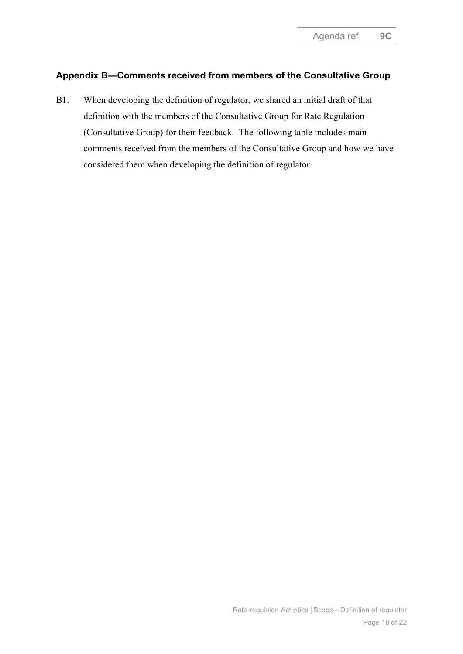## **Appendix B—Comments received from members of the Consultative Group**

B1. When developing the definition of regulator, we shared an initial draft of that definition with the members of the Consultative Group for Rate Regulation (Consultative Group) for their feedback. The following table includes main comments received from the members of the Consultative Group and how we have considered them when developing the definition of regulator.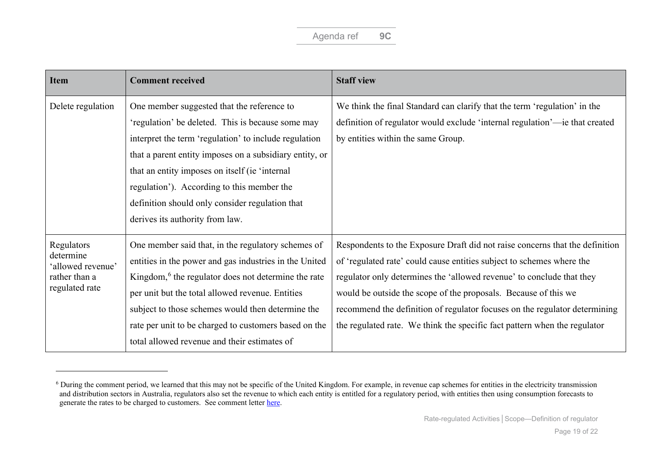<span id="page-18-0"></span>

| <b>Item</b>                                                                     | <b>Comment received</b>                                                                                                                                                                                                                                                                                                                                                                                   | <b>Staff view</b>                                                                                                                                                                                                                                                                                                                                                                                                                                            |
|---------------------------------------------------------------------------------|-----------------------------------------------------------------------------------------------------------------------------------------------------------------------------------------------------------------------------------------------------------------------------------------------------------------------------------------------------------------------------------------------------------|--------------------------------------------------------------------------------------------------------------------------------------------------------------------------------------------------------------------------------------------------------------------------------------------------------------------------------------------------------------------------------------------------------------------------------------------------------------|
| Delete regulation                                                               | One member suggested that the reference to<br>'regulation' be deleted. This is because some may<br>interpret the term 'regulation' to include regulation<br>that a parent entity imposes on a subsidiary entity, or<br>that an entity imposes on itself (ie 'internal<br>regulation'). According to this member the<br>definition should only consider regulation that<br>derives its authority from law. | We think the final Standard can clarify that the term 'regulation' in the<br>definition of regulator would exclude 'internal regulation'-ie that created<br>by entities within the same Group.                                                                                                                                                                                                                                                               |
| Regulators<br>determine<br>'allowed revenue'<br>rather than a<br>regulated rate | One member said that, in the regulatory schemes of<br>entities in the power and gas industries in the United<br>Kingdom, <sup>6</sup> the regulator does not determine the rate<br>per unit but the total allowed revenue. Entities<br>subject to those schemes would then determine the<br>rate per unit to be charged to customers based on the<br>total allowed revenue and their estimates of         | Respondents to the Exposure Draft did not raise concerns that the definition<br>of 'regulated rate' could cause entities subject to schemes where the<br>regulator only determines the 'allowed revenue' to conclude that they<br>would be outside the scope of the proposals. Because of this we<br>recommend the definition of regulator focuses on the regulator determining<br>the regulated rate. We think the specific fact pattern when the regulator |

 $6$  During the comment period, we learned that this may not be specific of the United Kingdom. For example, in revenue cap schemes for entities in the electricity transmission and distribution sectors in Australia, regulators also set the revenue to which each entity is entitled for a regulatory period, with entities then using consumption forecasts to generate the rates to be charged to customers. See comment letter [here.](http://eifrs.ifrs.org/eifrs/comment_letters/580/580_28717_kateWebsterAustralianElectricityTransmissionDistributionIndustry_0_AustralianElectricityTransmissionDistributionIndustryResponse.pdf)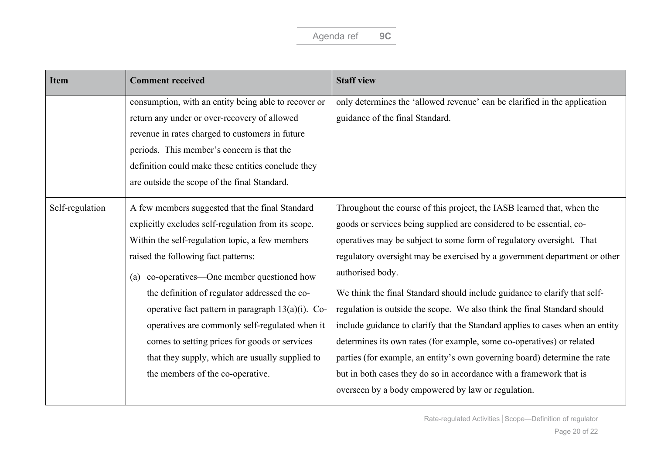| <b>Item</b>     | <b>Comment received</b>                              | <b>Staff view</b>                                                             |
|-----------------|------------------------------------------------------|-------------------------------------------------------------------------------|
|                 | consumption, with an entity being able to recover or | only determines the 'allowed revenue' can be clarified in the application     |
|                 | return any under or over-recovery of allowed         | guidance of the final Standard.                                               |
|                 | revenue in rates charged to customers in future      |                                                                               |
|                 | periods. This member's concern is that the           |                                                                               |
|                 | definition could make these entities conclude they   |                                                                               |
|                 | are outside the scope of the final Standard.         |                                                                               |
| Self-regulation | A few members suggested that the final Standard      | Throughout the course of this project, the IASB learned that, when the        |
|                 | explicitly excludes self-regulation from its scope.  | goods or services being supplied are considered to be essential, co-          |
|                 | Within the self-regulation topic, a few members      | operatives may be subject to some form of regulatory oversight. That          |
|                 | raised the following fact patterns:                  | regulatory oversight may be exercised by a government department or other     |
|                 | (a) co-operatives—One member questioned how          | authorised body.                                                              |
|                 | the definition of regulator addressed the co-        | We think the final Standard should include guidance to clarify that self-     |
|                 | operative fact pattern in paragraph $13(a)(i)$ . Co- | regulation is outside the scope. We also think the final Standard should      |
|                 | operatives are commonly self-regulated when it       | include guidance to clarify that the Standard applies to cases when an entity |
|                 | comes to setting prices for goods or services        | determines its own rates (for example, some co-operatives) or related         |
|                 | that they supply, which are usually supplied to      | parties (for example, an entity's own governing board) determine the rate     |
|                 | the members of the co-operative.                     | but in both cases they do so in accordance with a framework that is           |
|                 |                                                      | overseen by a body empowered by law or regulation.                            |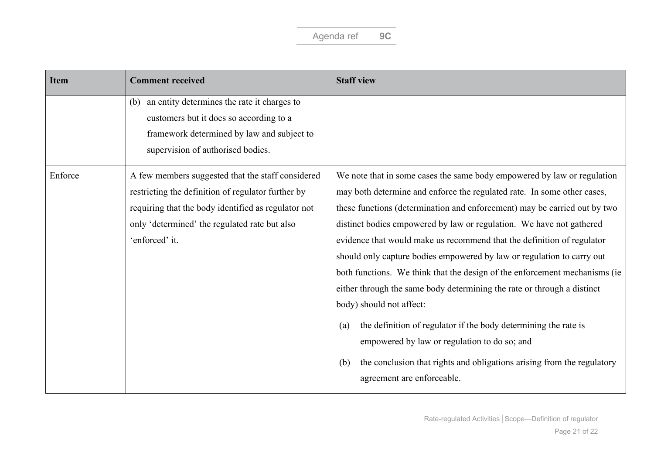| <b>Item</b> | <b>Comment received</b>                             | <b>Staff view</b>                                                                                           |
|-------------|-----------------------------------------------------|-------------------------------------------------------------------------------------------------------------|
|             | an entity determines the rate it charges to<br>(b)  |                                                                                                             |
|             | customers but it does so according to a             |                                                                                                             |
|             | framework determined by law and subject to          |                                                                                                             |
|             | supervision of authorised bodies.                   |                                                                                                             |
| Enforce     | A few members suggested that the staff considered   | We note that in some cases the same body empowered by law or regulation                                     |
|             | restricting the definition of regulator further by  | may both determine and enforce the regulated rate. In some other cases,                                     |
|             | requiring that the body identified as regulator not | these functions (determination and enforcement) may be carried out by two                                   |
|             | only 'determined' the regulated rate but also       | distinct bodies empowered by law or regulation. We have not gathered                                        |
|             | 'enforced' it.                                      | evidence that would make us recommend that the definition of regulator                                      |
|             |                                                     | should only capture bodies empowered by law or regulation to carry out                                      |
|             |                                                     | both functions. We think that the design of the enforcement mechanisms (ie                                  |
|             |                                                     | either through the same body determining the rate or through a distinct                                     |
|             |                                                     | body) should not affect:                                                                                    |
|             |                                                     | the definition of regulator if the body determining the rate is<br>(a)                                      |
|             |                                                     | empowered by law or regulation to do so; and                                                                |
|             |                                                     | the conclusion that rights and obligations arising from the regulatory<br>(b)<br>agreement are enforceable. |
|             |                                                     |                                                                                                             |